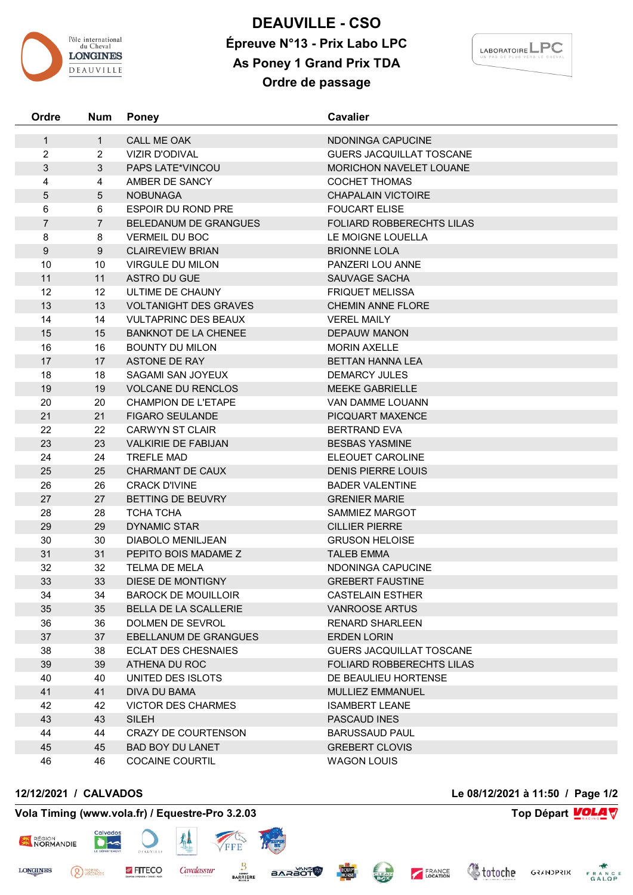

## **DEAUVILLE - CSO Épreuve N°13 - Prix Labo LPC As Poney 1 Grand Prix TDA Ordre de passage**



| Ordre            | <b>Num</b>      | <b>Poney</b>                 | <b>Cavalier</b>                  |  |
|------------------|-----------------|------------------------------|----------------------------------|--|
| $\mathbf{1}$     | $\mathbf{1}$    | CALL ME OAK                  | NDONINGA CAPUCINE                |  |
| $\overline{2}$   | $\overline{2}$  | <b>VIZIR D'ODIVAL</b>        | GUERS JACQUILLAT TOSCANE         |  |
| 3                | $\mathbf{3}$    | <b>PAPS LATE*VINCOU</b>      | <b>MORICHON NAVELET LOUANE</b>   |  |
| 4                | 4               | AMBER DE SANCY               | <b>COCHET THOMAS</b>             |  |
| 5                | $5\phantom{.0}$ | <b>NOBUNAGA</b>              | <b>CHAPALAIN VICTOIRE</b>        |  |
| 6                | 6               | <b>ESPOIR DU ROND PRE</b>    | <b>FOUCART ELISE</b>             |  |
| $\overline{7}$   | $\overline{7}$  | BELEDANUM DE GRANGUES        | <b>FOLIARD ROBBERECHTS LILAS</b> |  |
| 8                | 8               | <b>VERMEIL DU BOC</b>        | LE MOIGNE LOUELLA                |  |
| $\boldsymbol{9}$ | 9               | <b>CLAIREVIEW BRIAN</b>      | <b>BRIONNE LOLA</b>              |  |
| 10               | 10              | <b>VIRGULE DU MILON</b>      | PANZERI LOU ANNE                 |  |
| 11               | 11              | ASTRO DU GUE                 | SAUVAGE SACHA                    |  |
| 12               | 12              | ULTIME DE CHAUNY             | <b>FRIQUET MELISSA</b>           |  |
| 13               | 13              | <b>VOLTANIGHT DES GRAVES</b> | <b>CHEMIN ANNE FLORE</b>         |  |
| 14               | 14              | <b>VULTAPRINC DES BEAUX</b>  | <b>VEREL MAILY</b>               |  |
| 15               | 15              | <b>BANKNOT DE LA CHENEE</b>  | <b>DEPAUW MANON</b>              |  |
| 16               | 16              | <b>BOUNTY DU MILON</b>       | <b>MORIN AXELLE</b>              |  |
| 17               | 17              | <b>ASTONE DE RAY</b>         | <b>BETTAN HANNA LEA</b>          |  |
| 18               | 18              | SAGAMI SAN JOYEUX            | <b>DEMARCY JULES</b>             |  |
| 19               | 19              | <b>VOLCANE DU RENCLOS</b>    | <b>MEEKE GABRIELLE</b>           |  |
| 20               | 20              | <b>CHAMPION DE L'ETAPE</b>   | <b>VAN DAMME LOUANN</b>          |  |
| 21               | 21              | <b>FIGARO SEULANDE</b>       | PICQUART MAXENCE                 |  |
| 22               | 22              | <b>CARWYN ST CLAIR</b>       | <b>BERTRAND EVA</b>              |  |
| 23               | 23              | <b>VALKIRIE DE FABIJAN</b>   | <b>BESBAS YASMINE</b>            |  |
| 24               | 24              | <b>TREFLE MAD</b>            | ELEOUET CAROLINE                 |  |
| 25               | 25              | CHARMANT DE CAUX             | <b>DENIS PIERRE LOUIS</b>        |  |
| 26               | 26              | <b>CRACK D'IVINE</b>         | <b>BADER VALENTINE</b>           |  |
| 27               | 27              | BETTING DE BEUVRY            | <b>GRENIER MARIE</b>             |  |
| 28               | 28              | <b>TCHA TCHA</b>             | SAMMIEZ MARGOT                   |  |
| 29               | 29              | <b>DYNAMIC STAR</b>          | <b>CILLIER PIERRE</b>            |  |
| 30               | 30              | DIABOLO MENILJEAN            | <b>GRUSON HELOISE</b>            |  |
| 31               | 31              | PEPITO BOIS MADAME Z         | <b>TALEB EMMA</b>                |  |
| 32               | 32              | TELMA DE MELA                | NDONINGA CAPUCINE                |  |
| 33               | 33              | DIESE DE MONTIGNY            | <b>GREBERT FAUSTINE</b>          |  |
| 34               | 34              | <b>BAROCK DE MOUILLOIR</b>   | <b>CASTELAIN ESTHER</b>          |  |
| 35               | 35              | BELLA DE LA SCALLERIE        | <b>VANROOSE ARTUS</b>            |  |
| 36               | 36              | DOLMEN DE SEVROL             | <b>RENARD SHARLEEN</b>           |  |
| 37               | 37              | EBELLANUM DE GRANGUES        | <b>ERDEN LORIN</b>               |  |
| 38               | 38              | <b>ECLAT DES CHESNAIES</b>   | <b>GUERS JACQUILLAT TOSCANE</b>  |  |
| 39               | 39              | ATHENA DU ROC                | <b>FOLIARD ROBBERECHTS LILAS</b> |  |
| 40               | 40              | UNITED DES ISLOTS            | DE BEAULIEU HORTENSE             |  |
| 41               | 41              | DIVA DU BAMA                 | MULLIEZ EMMANUEL                 |  |
| 42               | 42              | <b>VICTOR DES CHARMES</b>    | <b>ISAMBERT LEANE</b>            |  |
| 43               | 43              | <b>SILEH</b>                 | PASCAUD INES                     |  |
| 44               | 44              | <b>CRAZY DE COURTENSON</b>   | <b>BARUSSAUD PAUL</b>            |  |
| 45               | 45              | <b>BAD BOY DU LANET</b>      | <b>GREBERT CLOVIS</b>            |  |
| 46               | 46              | <b>COCAINE COURTIL</b>       | <b>WAGON LOUIS</b>               |  |

<sup>PIERRE</sup>

RÉGION<br>NORMANDIE

**LONGINES** 

## **Vola Timing (www.vola.fr) / Equestre-Pro 3.2.03 Top Départ VOLA**

FITECO

 $\bullet$ 

隼

Cavalassur

FFE

 $\frac{B}{BARRIERE}$ 

**12/12/2021 / CALVADOS Le 08/12/2021 à 11:50 / Page 1/2**